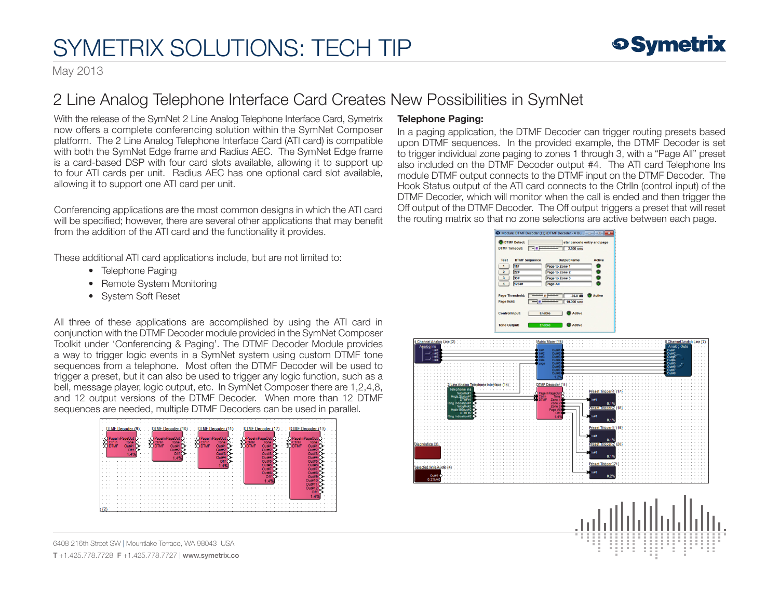# SYMETRIX SOLUTIONS: TECH TIP

May 2013

### 2 Line Analog Telephone Interface Card Creates New Possibilities in SymNet

With the release of the SymNet 2 Line Analog Telephone Interface Card, Symetrix now offers a complete conferencing solution within the SymNet Composer platform. The 2 Line Analog Telephone Interface Card (ATI card) is compatible with both the SymNet Edge frame and Radius AEC. The SymNet Edge frame is a card-based DSP with four card slots available, allowing it to support up to four ATI cards per unit. Radius AEC has one optional card slot available, allowing it to support one ATI card per unit.

Conferencing applications are the most common designs in which the ATI card will be specified; however, there are several other applications that may benefit from the addition of the ATI card and the functionality it provides.

These additional ATI card applications include, but are not limited to:

- Telephone Paging
- Remote System Monitoring
- System Soft Reset

All three of these applications are accomplished by using the ATI card in conjunction with the DTMF Decoder module provided in the SymNet Composer Toolkit under 'Conferencing & Paging'. The DTMF Decoder Module provides a way to trigger logic events in a SymNet system using custom DTMF tone sequences from a telephone. Most often the DTMF Decoder will be used to trigger a preset, but it can also be used to trigger any logic function, such as a bell, message player, logic output, etc. In SymNet Composer there are 1.2.4.8. and 12 output versions of the DTMF Decoder. When more than 12 DTMF sequences are needed, multiple DTMF Decoders can be used in parallel.



6408 216th Street SW | Mountlake Terrace, WA 98043 USA T +1.425.778.7728 F +1.425.778.7727 | www.symetrix.co

### Telephone Paging:

In a paging application, the DTMF Decoder can trigger routing presets based upon DTMF sequences. In the provided example, the DTMF Decoder is set to trigger individual zone paging to zones 1 through 3, with a "Page All" preset also included on the DTMF Decoder output #4. The ATI card Telephone Ins module DTMF output connects to the DTMF input on the DTMF Decoder. The Hook Status output of the ATI card connects to the CtrlIn (control input) of the DTMF Decoder, which will monitor when the call is ended and then trigger the Off output of the DTMF Decoder. The Off output triggers a preset that will reset the routing matrix so that no zone selections are active between each page.